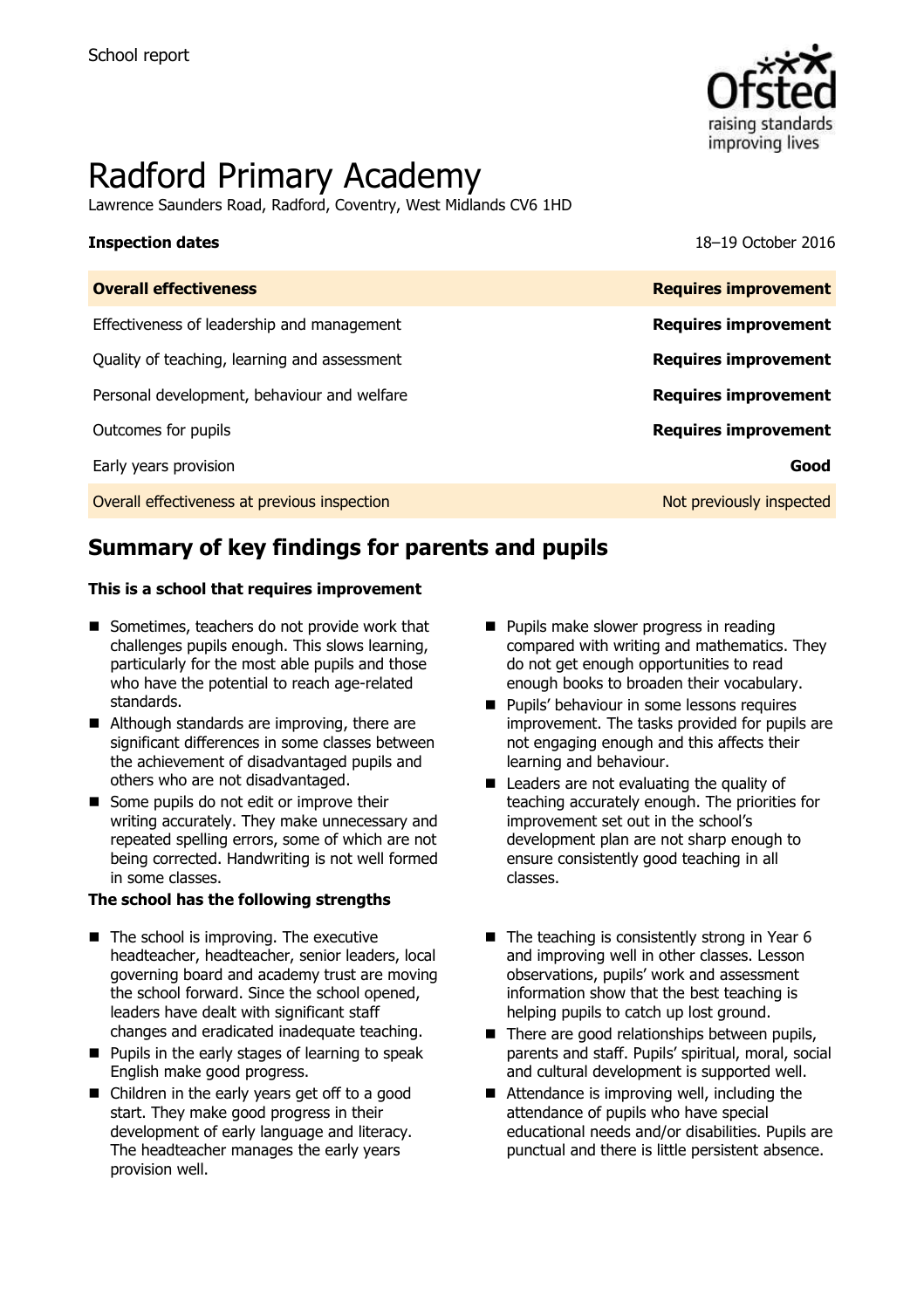

# Radford Primary Academy

Lawrence Saunders Road, Radford, Coventry, West Midlands CV6 1HD

**Inspection dates** 18–19 October 2016

| <b>Requires improvement</b> |
|-----------------------------|
| <b>Requires improvement</b> |
| <b>Requires improvement</b> |
| <b>Requires improvement</b> |
| <b>Requires improvement</b> |
| Good                        |
| Not previously inspected    |
|                             |

# **Summary of key findings for parents and pupils**

#### **This is a school that requires improvement**

- Sometimes, teachers do not provide work that challenges pupils enough. This slows learning, particularly for the most able pupils and those who have the potential to reach age-related standards.
- Although standards are improving, there are significant differences in some classes between the achievement of disadvantaged pupils and others who are not disadvantaged.
- Some pupils do not edit or improve their writing accurately. They make unnecessary and repeated spelling errors, some of which are not being corrected. Handwriting is not well formed in some classes.

#### **The school has the following strengths**

- $\blacksquare$  The school is improving. The executive headteacher, headteacher, senior leaders, local governing board and academy trust are moving the school forward. Since the school opened, leaders have dealt with significant staff changes and eradicated inadequate teaching.
- **Pupils in the early stages of learning to speak** English make good progress.
- Children in the early years get off to a good start. They make good progress in their development of early language and literacy. The headteacher manages the early years provision well.
- **Pupils make slower progress in reading** compared with writing and mathematics. They do not get enough opportunities to read enough books to broaden their vocabulary.
- **Pupils' behaviour in some lessons requires** improvement. The tasks provided for pupils are not engaging enough and this affects their learning and behaviour.
- **E** Leaders are not evaluating the quality of teaching accurately enough. The priorities for improvement set out in the school's development plan are not sharp enough to ensure consistently good teaching in all classes.
- $\blacksquare$  The teaching is consistently strong in Year 6 and improving well in other classes. Lesson observations, pupils' work and assessment information show that the best teaching is helping pupils to catch up lost ground.
- $\blacksquare$  There are good relationships between pupils, parents and staff. Pupils' spiritual, moral, social and cultural development is supported well.
- Attendance is improving well, including the attendance of pupils who have special educational needs and/or disabilities. Pupils are punctual and there is little persistent absence.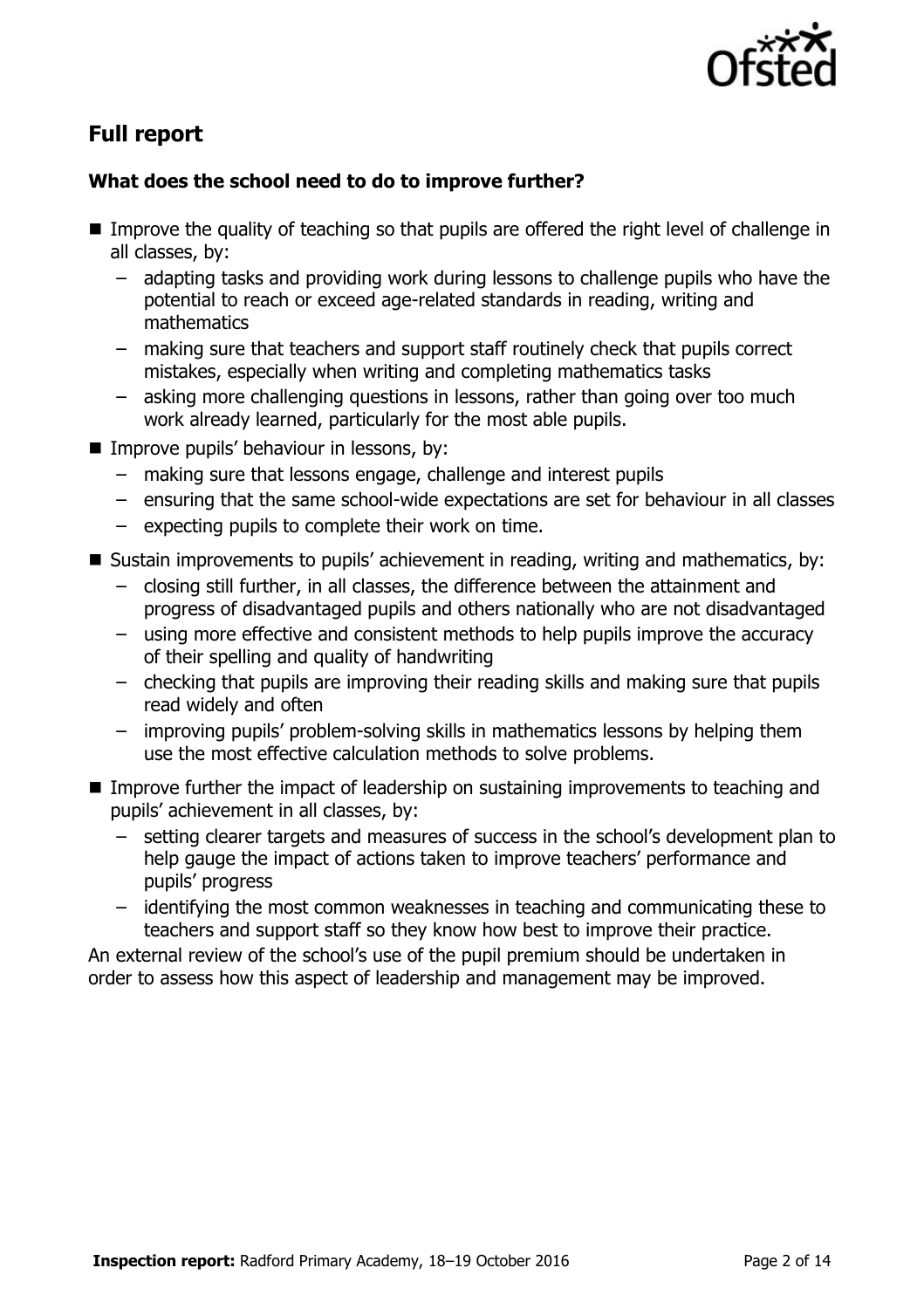

# **Full report**

### **What does the school need to do to improve further?**

- Improve the quality of teaching so that pupils are offered the right level of challenge in all classes, by:
	- adapting tasks and providing work during lessons to challenge pupils who have the potential to reach or exceed age-related standards in reading, writing and mathematics
	- making sure that teachers and support staff routinely check that pupils correct mistakes, especially when writing and completing mathematics tasks
	- asking more challenging questions in lessons, rather than going over too much work already learned, particularly for the most able pupils.
- **Improve pupils' behaviour in lessons, by:** 
	- making sure that lessons engage, challenge and interest pupils
	- ensuring that the same school-wide expectations are set for behaviour in all classes
	- expecting pupils to complete their work on time.
- Sustain improvements to pupils' achievement in reading, writing and mathematics, by:
	- closing still further, in all classes, the difference between the attainment and progress of disadvantaged pupils and others nationally who are not disadvantaged
	- using more effective and consistent methods to help pupils improve the accuracy of their spelling and quality of handwriting
	- checking that pupils are improving their reading skills and making sure that pupils read widely and often
	- improving pupils' problem-solving skills in mathematics lessons by helping them use the most effective calculation methods to solve problems.
- Improve further the impact of leadership on sustaining improvements to teaching and pupils' achievement in all classes, by:
	- setting clearer targets and measures of success in the school's development plan to help gauge the impact of actions taken to improve teachers' performance and pupils' progress
	- identifying the most common weaknesses in teaching and communicating these to teachers and support staff so they know how best to improve their practice.

An external review of the school's use of the pupil premium should be undertaken in order to assess how this aspect of leadership and management may be improved.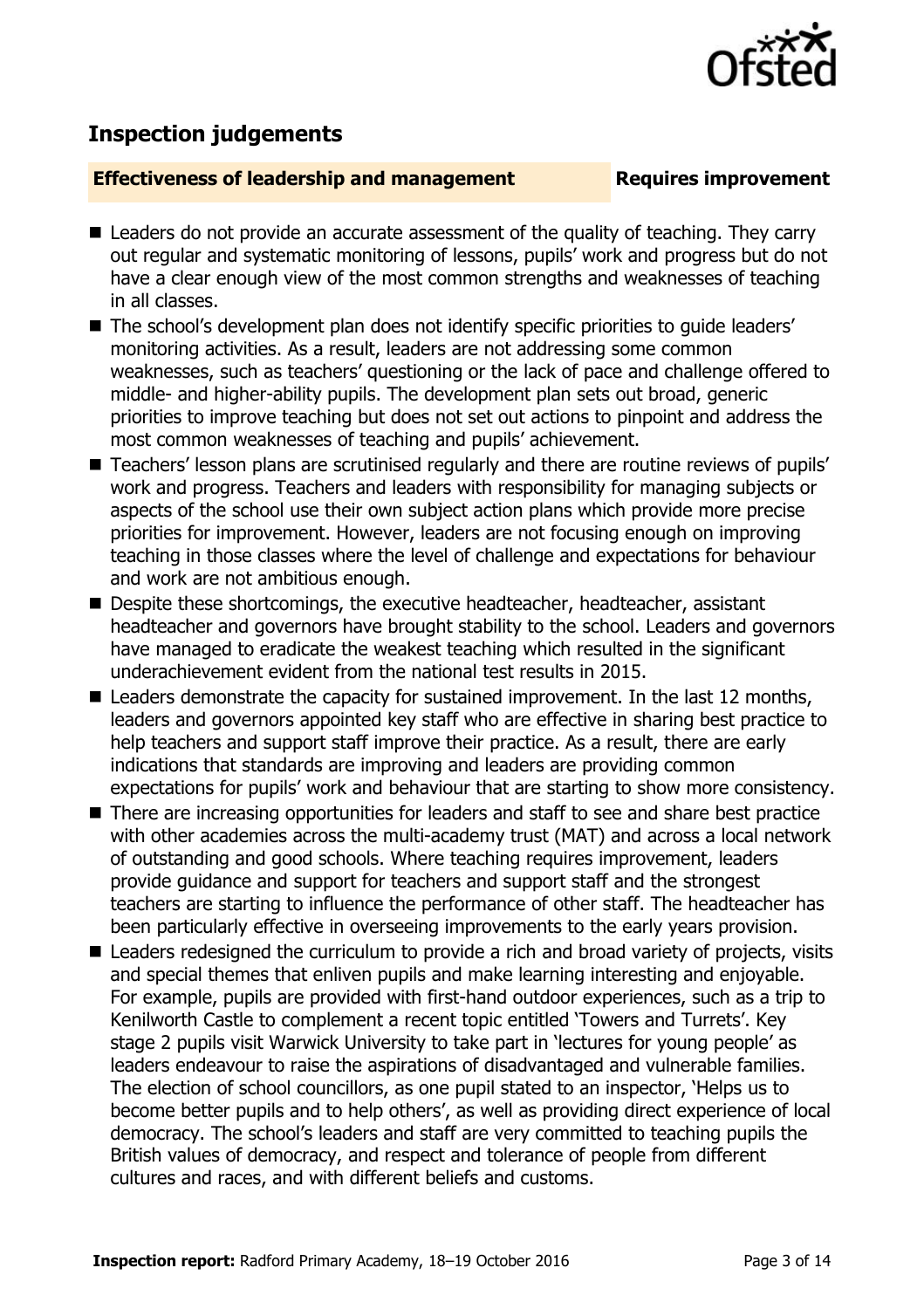

## **Inspection judgements**

### **Effectiveness of leadership and management Requires improvement**

- Leaders do not provide an accurate assessment of the quality of teaching. They carry out regular and systematic monitoring of lessons, pupils' work and progress but do not have a clear enough view of the most common strengths and weaknesses of teaching in all classes.
- The school's development plan does not identify specific priorities to quide leaders' monitoring activities. As a result, leaders are not addressing some common weaknesses, such as teachers' questioning or the lack of pace and challenge offered to middle- and higher-ability pupils. The development plan sets out broad, generic priorities to improve teaching but does not set out actions to pinpoint and address the most common weaknesses of teaching and pupils' achievement.
- Teachers' lesson plans are scrutinised regularly and there are routine reviews of pupils' work and progress. Teachers and leaders with responsibility for managing subjects or aspects of the school use their own subject action plans which provide more precise priorities for improvement. However, leaders are not focusing enough on improving teaching in those classes where the level of challenge and expectations for behaviour and work are not ambitious enough.
- Despite these shortcomings, the executive headteacher, headteacher, assistant headteacher and governors have brought stability to the school. Leaders and governors have managed to eradicate the weakest teaching which resulted in the significant underachievement evident from the national test results in 2015.
- Leaders demonstrate the capacity for sustained improvement. In the last 12 months, leaders and governors appointed key staff who are effective in sharing best practice to help teachers and support staff improve their practice. As a result, there are early indications that standards are improving and leaders are providing common expectations for pupils' work and behaviour that are starting to show more consistency.
- There are increasing opportunities for leaders and staff to see and share best practice with other academies across the multi-academy trust (MAT) and across a local network of outstanding and good schools. Where teaching requires improvement, leaders provide guidance and support for teachers and support staff and the strongest teachers are starting to influence the performance of other staff. The headteacher has been particularly effective in overseeing improvements to the early years provision.
- Leaders redesigned the curriculum to provide a rich and broad variety of projects, visits and special themes that enliven pupils and make learning interesting and enjoyable. For example, pupils are provided with first-hand outdoor experiences, such as a trip to Kenilworth Castle to complement a recent topic entitled 'Towers and Turrets'. Key stage 2 pupils visit Warwick University to take part in 'lectures for young people' as leaders endeavour to raise the aspirations of disadvantaged and vulnerable families. The election of school councillors, as one pupil stated to an inspector, 'Helps us to become better pupils and to help others', as well as providing direct experience of local democracy. The school's leaders and staff are very committed to teaching pupils the British values of democracy, and respect and tolerance of people from different cultures and races, and with different beliefs and customs.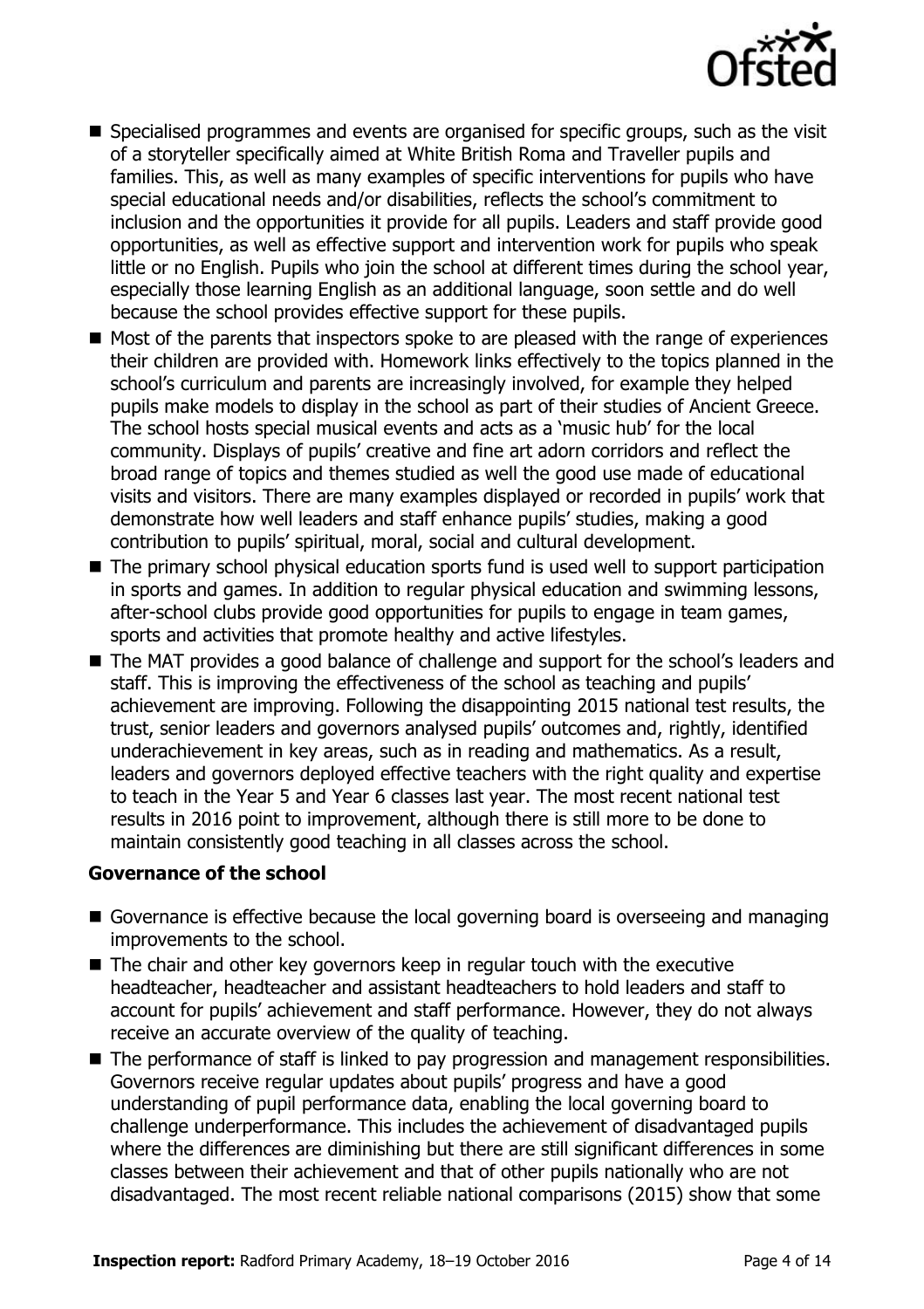

- Specialised programmes and events are organised for specific groups, such as the visit of a storyteller specifically aimed at White British Roma and Traveller pupils and families. This, as well as many examples of specific interventions for pupils who have special educational needs and/or disabilities, reflects the school's commitment to inclusion and the opportunities it provide for all pupils. Leaders and staff provide good opportunities, as well as effective support and intervention work for pupils who speak little or no English. Pupils who join the school at different times during the school year, especially those learning English as an additional language, soon settle and do well because the school provides effective support for these pupils.
- Most of the parents that inspectors spoke to are pleased with the range of experiences their children are provided with. Homework links effectively to the topics planned in the school's curriculum and parents are increasingly involved, for example they helped pupils make models to display in the school as part of their studies of Ancient Greece. The school hosts special musical events and acts as a 'music hub' for the local community. Displays of pupils' creative and fine art adorn corridors and reflect the broad range of topics and themes studied as well the good use made of educational visits and visitors. There are many examples displayed or recorded in pupils' work that demonstrate how well leaders and staff enhance pupils' studies, making a good contribution to pupils' spiritual, moral, social and cultural development.
- The primary school physical education sports fund is used well to support participation in sports and games. In addition to regular physical education and swimming lessons, after-school clubs provide good opportunities for pupils to engage in team games, sports and activities that promote healthy and active lifestyles.
- The MAT provides a good balance of challenge and support for the school's leaders and staff. This is improving the effectiveness of the school as teaching and pupils' achievement are improving. Following the disappointing 2015 national test results, the trust, senior leaders and governors analysed pupils' outcomes and, rightly, identified underachievement in key areas, such as in reading and mathematics. As a result, leaders and governors deployed effective teachers with the right quality and expertise to teach in the Year 5 and Year 6 classes last year. The most recent national test results in 2016 point to improvement, although there is still more to be done to maintain consistently good teaching in all classes across the school.

#### **Governance of the school**

- Governance is effective because the local governing board is overseeing and managing improvements to the school.
- The chair and other key governors keep in regular touch with the executive headteacher, headteacher and assistant headteachers to hold leaders and staff to account for pupils' achievement and staff performance. However, they do not always receive an accurate overview of the quality of teaching.
- The performance of staff is linked to pay progression and management responsibilities. Governors receive regular updates about pupils' progress and have a good understanding of pupil performance data, enabling the local governing board to challenge underperformance. This includes the achievement of disadvantaged pupils where the differences are diminishing but there are still significant differences in some classes between their achievement and that of other pupils nationally who are not disadvantaged. The most recent reliable national comparisons (2015) show that some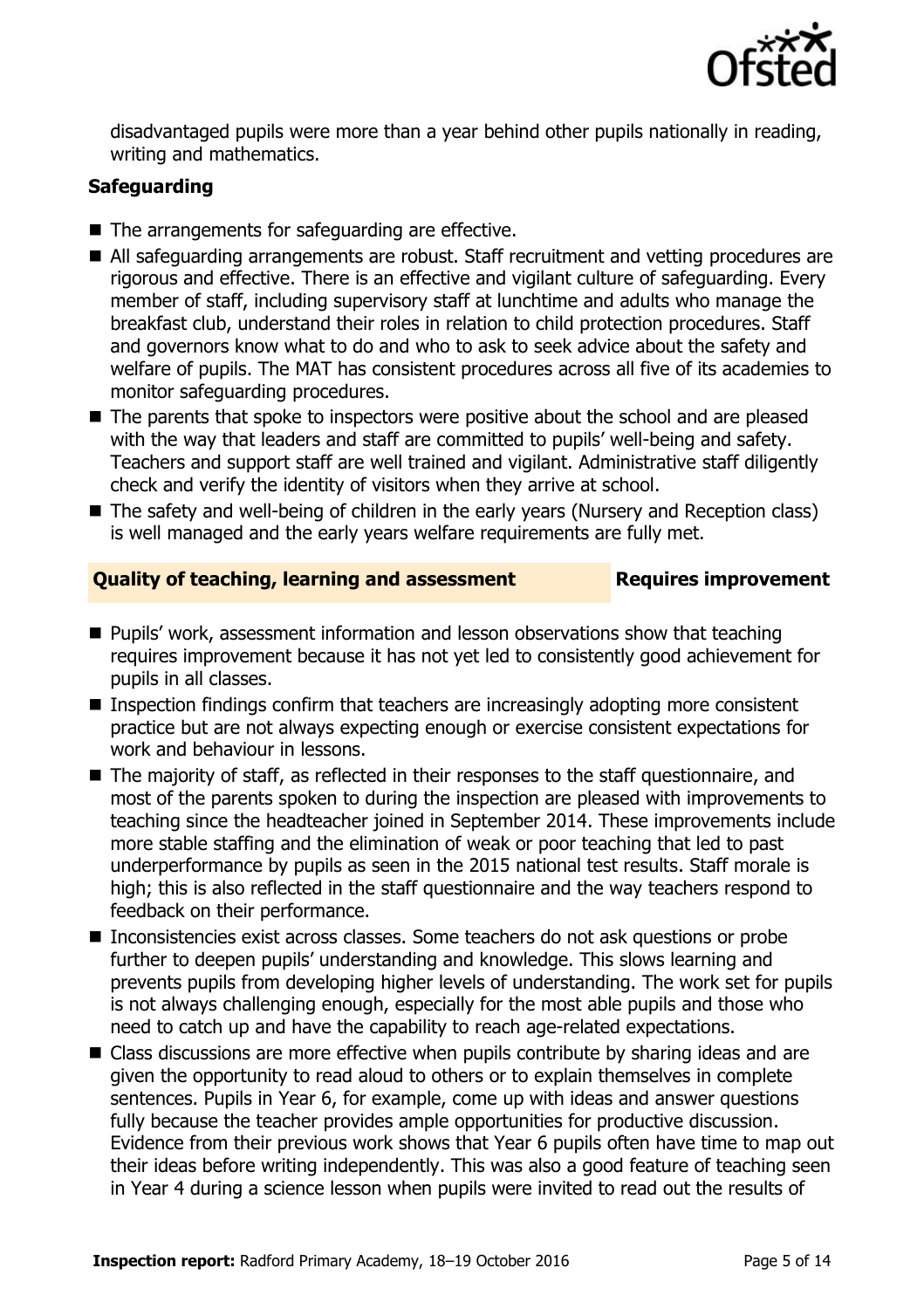

disadvantaged pupils were more than a year behind other pupils nationally in reading, writing and mathematics.

### **Safeguarding**

- $\blacksquare$  The arrangements for safeguarding are effective.
- All safeguarding arrangements are robust. Staff recruitment and vetting procedures are rigorous and effective. There is an effective and vigilant culture of safeguarding. Every member of staff, including supervisory staff at lunchtime and adults who manage the breakfast club, understand their roles in relation to child protection procedures. Staff and governors know what to do and who to ask to seek advice about the safety and welfare of pupils. The MAT has consistent procedures across all five of its academies to monitor safeguarding procedures.
- The parents that spoke to inspectors were positive about the school and are pleased with the way that leaders and staff are committed to pupils' well-being and safety. Teachers and support staff are well trained and vigilant. Administrative staff diligently check and verify the identity of visitors when they arrive at school.
- The safety and well-being of children in the early years (Nursery and Reception class) is well managed and the early years welfare requirements are fully met.

### **Quality of teaching, learning and assessment Requires improvement**

- **Pupils' work, assessment information and lesson observations show that teaching** requires improvement because it has not yet led to consistently good achievement for pupils in all classes.
- Inspection findings confirm that teachers are increasingly adopting more consistent practice but are not always expecting enough or exercise consistent expectations for work and behaviour in lessons.
- The majority of staff, as reflected in their responses to the staff questionnaire, and most of the parents spoken to during the inspection are pleased with improvements to teaching since the headteacher joined in September 2014. These improvements include more stable staffing and the elimination of weak or poor teaching that led to past underperformance by pupils as seen in the 2015 national test results. Staff morale is high; this is also reflected in the staff questionnaire and the way teachers respond to feedback on their performance.
- Inconsistencies exist across classes. Some teachers do not ask questions or probe further to deepen pupils' understanding and knowledge. This slows learning and prevents pupils from developing higher levels of understanding. The work set for pupils is not always challenging enough, especially for the most able pupils and those who need to catch up and have the capability to reach age-related expectations.
- Class discussions are more effective when pupils contribute by sharing ideas and are given the opportunity to read aloud to others or to explain themselves in complete sentences. Pupils in Year 6, for example, come up with ideas and answer questions fully because the teacher provides ample opportunities for productive discussion. Evidence from their previous work shows that Year 6 pupils often have time to map out their ideas before writing independently. This was also a good feature of teaching seen in Year 4 during a science lesson when pupils were invited to read out the results of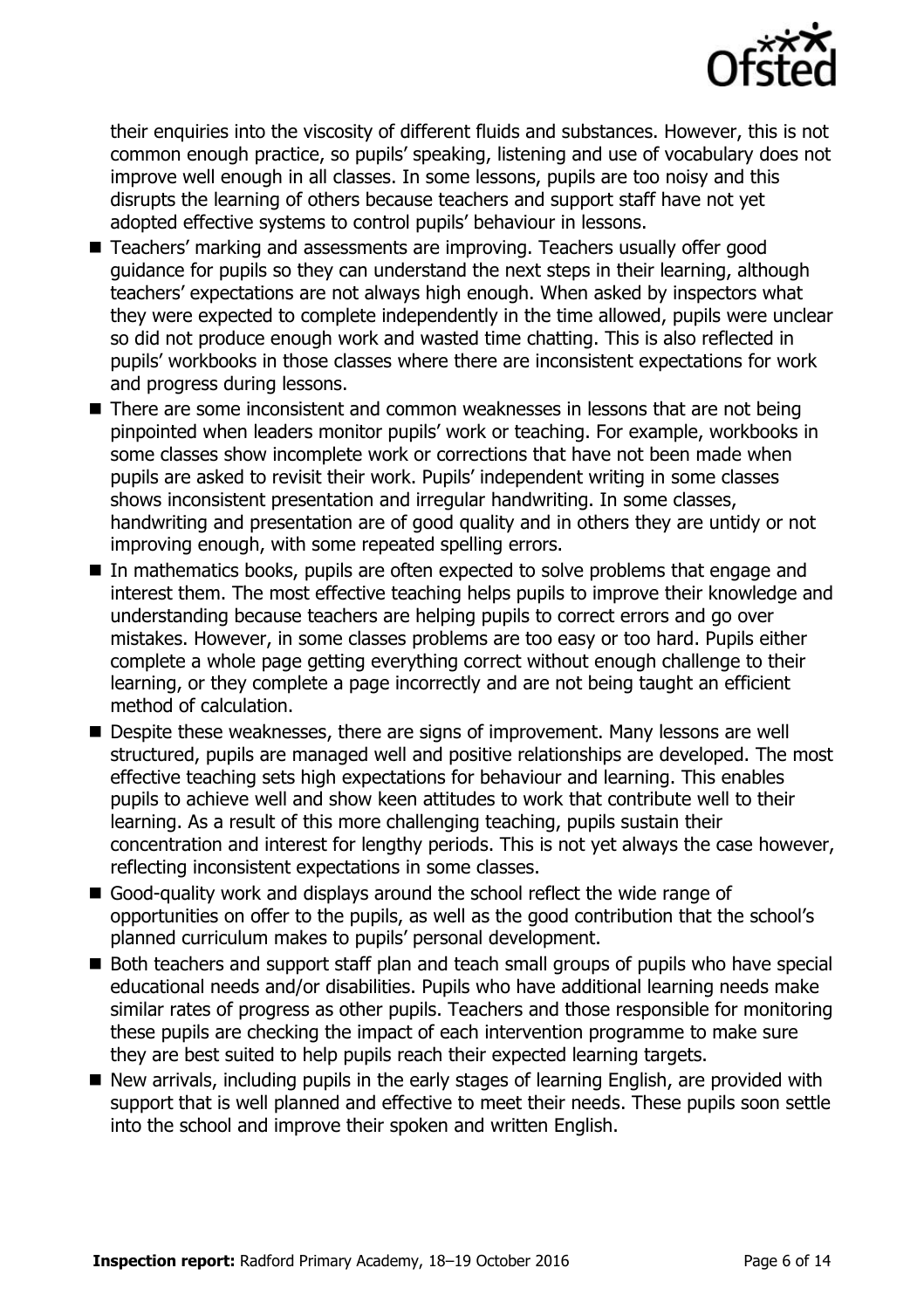

their enquiries into the viscosity of different fluids and substances. However, this is not common enough practice, so pupils' speaking, listening and use of vocabulary does not improve well enough in all classes. In some lessons, pupils are too noisy and this disrupts the learning of others because teachers and support staff have not yet adopted effective systems to control pupils' behaviour in lessons.

- Teachers' marking and assessments are improving. Teachers usually offer good guidance for pupils so they can understand the next steps in their learning, although teachers' expectations are not always high enough. When asked by inspectors what they were expected to complete independently in the time allowed, pupils were unclear so did not produce enough work and wasted time chatting. This is also reflected in pupils' workbooks in those classes where there are inconsistent expectations for work and progress during lessons.
- There are some inconsistent and common weaknesses in lessons that are not being pinpointed when leaders monitor pupils' work or teaching. For example, workbooks in some classes show incomplete work or corrections that have not been made when pupils are asked to revisit their work. Pupils' independent writing in some classes shows inconsistent presentation and irregular handwriting. In some classes, handwriting and presentation are of good quality and in others they are untidy or not improving enough, with some repeated spelling errors.
- In mathematics books, pupils are often expected to solve problems that engage and interest them. The most effective teaching helps pupils to improve their knowledge and understanding because teachers are helping pupils to correct errors and go over mistakes. However, in some classes problems are too easy or too hard. Pupils either complete a whole page getting everything correct without enough challenge to their learning, or they complete a page incorrectly and are not being taught an efficient method of calculation.
- Despite these weaknesses, there are signs of improvement. Many lessons are well structured, pupils are managed well and positive relationships are developed. The most effective teaching sets high expectations for behaviour and learning. This enables pupils to achieve well and show keen attitudes to work that contribute well to their learning. As a result of this more challenging teaching, pupils sustain their concentration and interest for lengthy periods. This is not yet always the case however, reflecting inconsistent expectations in some classes.
- Good-quality work and displays around the school reflect the wide range of opportunities on offer to the pupils, as well as the good contribution that the school's planned curriculum makes to pupils' personal development.
- Both teachers and support staff plan and teach small groups of pupils who have special educational needs and/or disabilities. Pupils who have additional learning needs make similar rates of progress as other pupils. Teachers and those responsible for monitoring these pupils are checking the impact of each intervention programme to make sure they are best suited to help pupils reach their expected learning targets.
- New arrivals, including pupils in the early stages of learning English, are provided with support that is well planned and effective to meet their needs. These pupils soon settle into the school and improve their spoken and written English.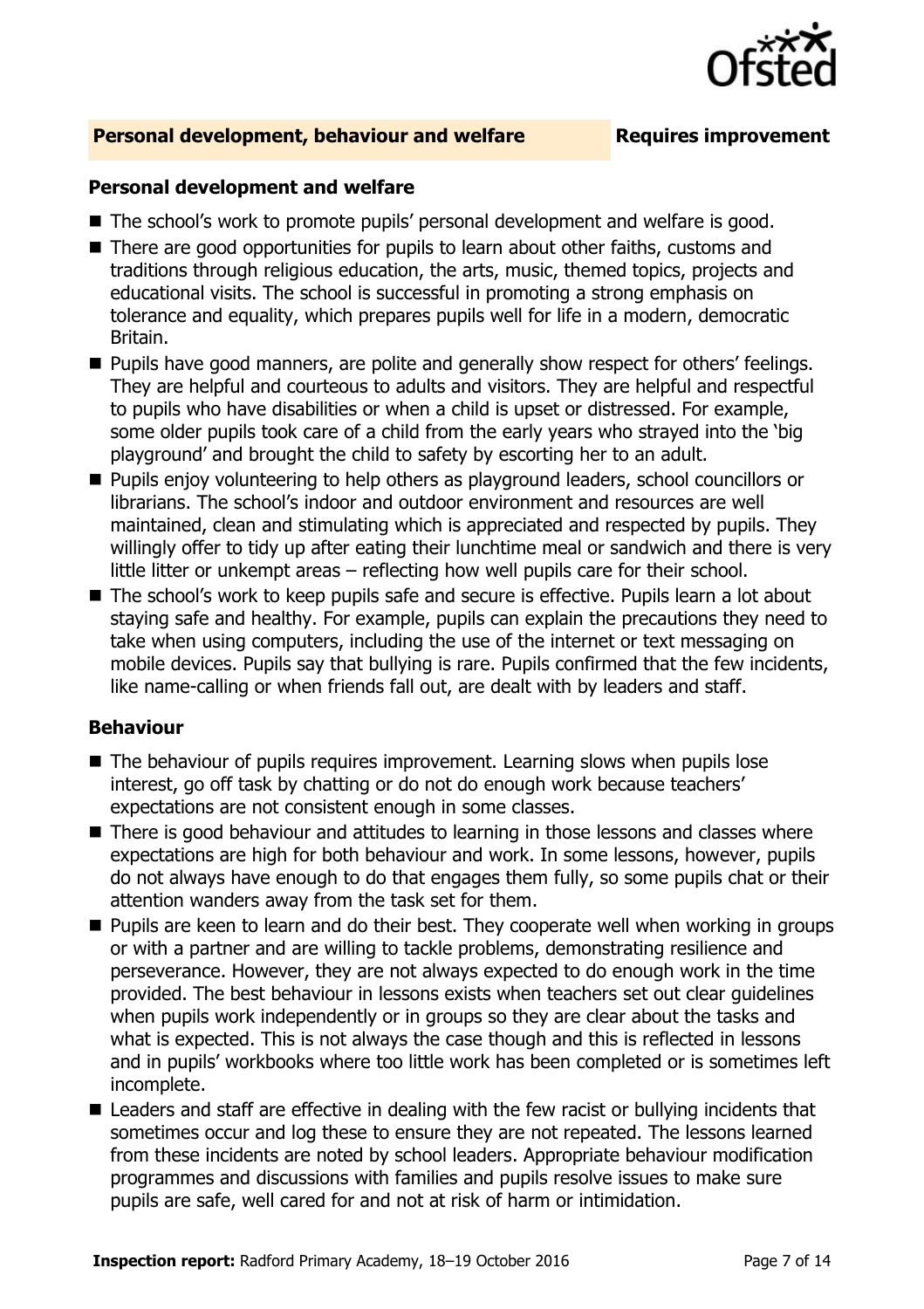

### **Personal development, behaviour and welfare <b>Requires improvement**

#### **Personal development and welfare**

- The school's work to promote pupils' personal development and welfare is good.
- There are good opportunities for pupils to learn about other faiths, customs and traditions through religious education, the arts, music, themed topics, projects and educational visits. The school is successful in promoting a strong emphasis on tolerance and equality, which prepares pupils well for life in a modern, democratic Britain.
- **Pupils have good manners, are polite and generally show respect for others' feelings.** They are helpful and courteous to adults and visitors. They are helpful and respectful to pupils who have disabilities or when a child is upset or distressed. For example, some older pupils took care of a child from the early years who strayed into the 'big playground' and brought the child to safety by escorting her to an adult.
- **Pupils enjoy volunteering to help others as playground leaders, school councillors or** librarians. The school's indoor and outdoor environment and resources are well maintained, clean and stimulating which is appreciated and respected by pupils. They willingly offer to tidy up after eating their lunchtime meal or sandwich and there is very little litter or unkempt areas – reflecting how well pupils care for their school.
- The school's work to keep pupils safe and secure is effective. Pupils learn a lot about staying safe and healthy. For example, pupils can explain the precautions they need to take when using computers, including the use of the internet or text messaging on mobile devices. Pupils say that bullying is rare. Pupils confirmed that the few incidents, like name-calling or when friends fall out, are dealt with by leaders and staff.

#### **Behaviour**

- The behaviour of pupils requires improvement. Learning slows when pupils lose interest, go off task by chatting or do not do enough work because teachers' expectations are not consistent enough in some classes.
- There is good behaviour and attitudes to learning in those lessons and classes where expectations are high for both behaviour and work. In some lessons, however, pupils do not always have enough to do that engages them fully, so some pupils chat or their attention wanders away from the task set for them.
- **Pupils are keen to learn and do their best. They cooperate well when working in groups** or with a partner and are willing to tackle problems, demonstrating resilience and perseverance. However, they are not always expected to do enough work in the time provided. The best behaviour in lessons exists when teachers set out clear guidelines when pupils work independently or in groups so they are clear about the tasks and what is expected. This is not always the case though and this is reflected in lessons and in pupils' workbooks where too little work has been completed or is sometimes left incomplete.
- Leaders and staff are effective in dealing with the few racist or bullying incidents that sometimes occur and log these to ensure they are not repeated. The lessons learned from these incidents are noted by school leaders. Appropriate behaviour modification programmes and discussions with families and pupils resolve issues to make sure pupils are safe, well cared for and not at risk of harm or intimidation.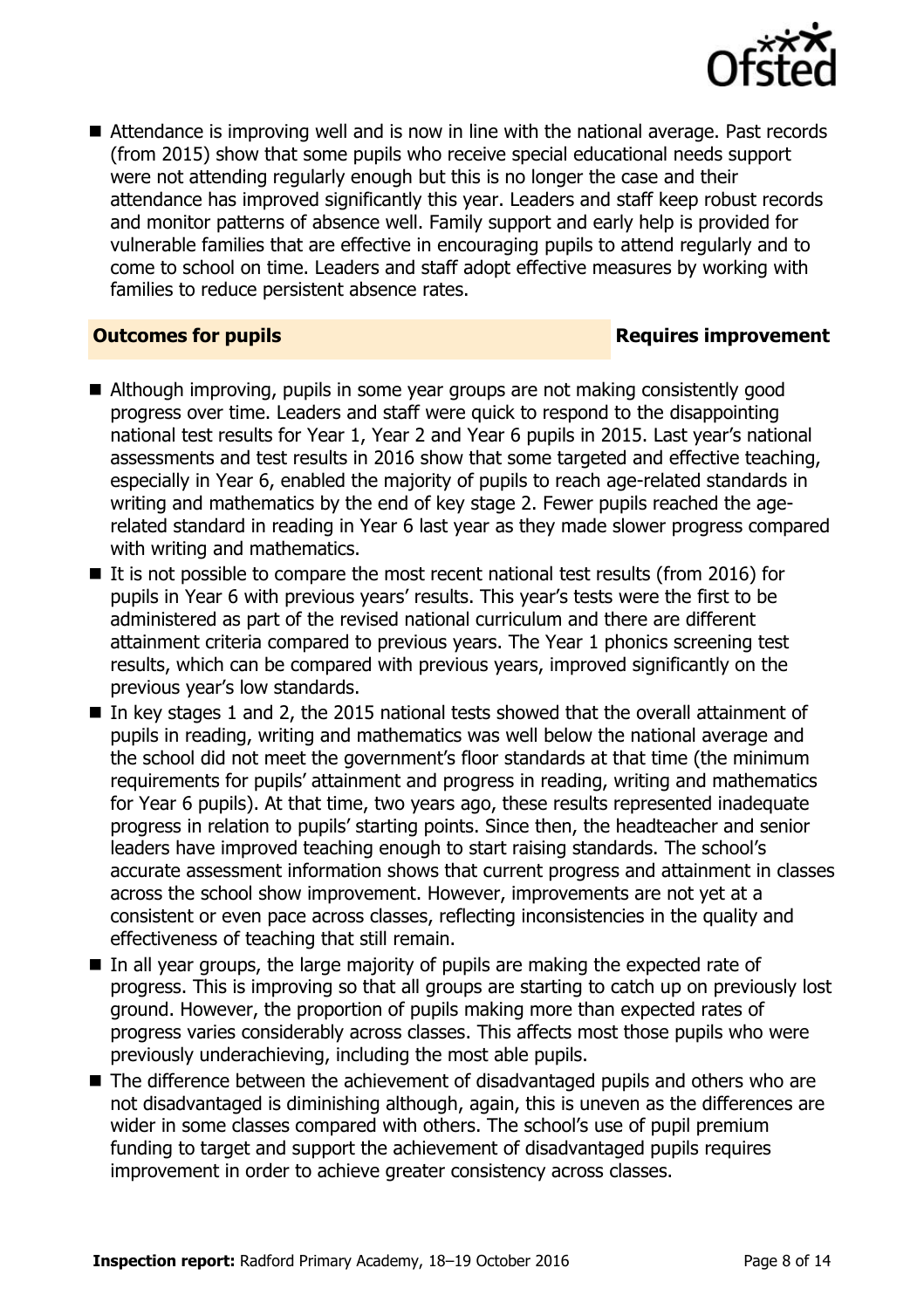

■ Attendance is improving well and is now in line with the national average. Past records (from 2015) show that some pupils who receive special educational needs support were not attending regularly enough but this is no longer the case and their attendance has improved significantly this year. Leaders and staff keep robust records and monitor patterns of absence well. Family support and early help is provided for vulnerable families that are effective in encouraging pupils to attend regularly and to come to school on time. Leaders and staff adopt effective measures by working with families to reduce persistent absence rates.

#### **Outcomes for pupils Requires improvement**

- Although improving, pupils in some year groups are not making consistently good progress over time. Leaders and staff were quick to respond to the disappointing national test results for Year 1, Year 2 and Year 6 pupils in 2015. Last year's national assessments and test results in 2016 show that some targeted and effective teaching, especially in Year 6, enabled the majority of pupils to reach age-related standards in writing and mathematics by the end of key stage 2. Fewer pupils reached the agerelated standard in reading in Year 6 last year as they made slower progress compared with writing and mathematics.
- $\blacksquare$  It is not possible to compare the most recent national test results (from 2016) for pupils in Year 6 with previous years' results. This year's tests were the first to be administered as part of the revised national curriculum and there are different attainment criteria compared to previous years. The Year 1 phonics screening test results, which can be compared with previous years, improved significantly on the previous year's low standards.
- In key stages 1 and 2, the 2015 national tests showed that the overall attainment of pupils in reading, writing and mathematics was well below the national average and the school did not meet the government's floor standards at that time (the minimum requirements for pupils' attainment and progress in reading, writing and mathematics for Year 6 pupils). At that time, two years ago, these results represented inadequate progress in relation to pupils' starting points. Since then, the headteacher and senior leaders have improved teaching enough to start raising standards. The school's accurate assessment information shows that current progress and attainment in classes across the school show improvement. However, improvements are not yet at a consistent or even pace across classes, reflecting inconsistencies in the quality and effectiveness of teaching that still remain.
- $\blacksquare$  In all year groups, the large majority of pupils are making the expected rate of progress. This is improving so that all groups are starting to catch up on previously lost ground. However, the proportion of pupils making more than expected rates of progress varies considerably across classes. This affects most those pupils who were previously underachieving, including the most able pupils.
- The difference between the achievement of disadvantaged pupils and others who are not disadvantaged is diminishing although, again, this is uneven as the differences are wider in some classes compared with others. The school's use of pupil premium funding to target and support the achievement of disadvantaged pupils requires improvement in order to achieve greater consistency across classes.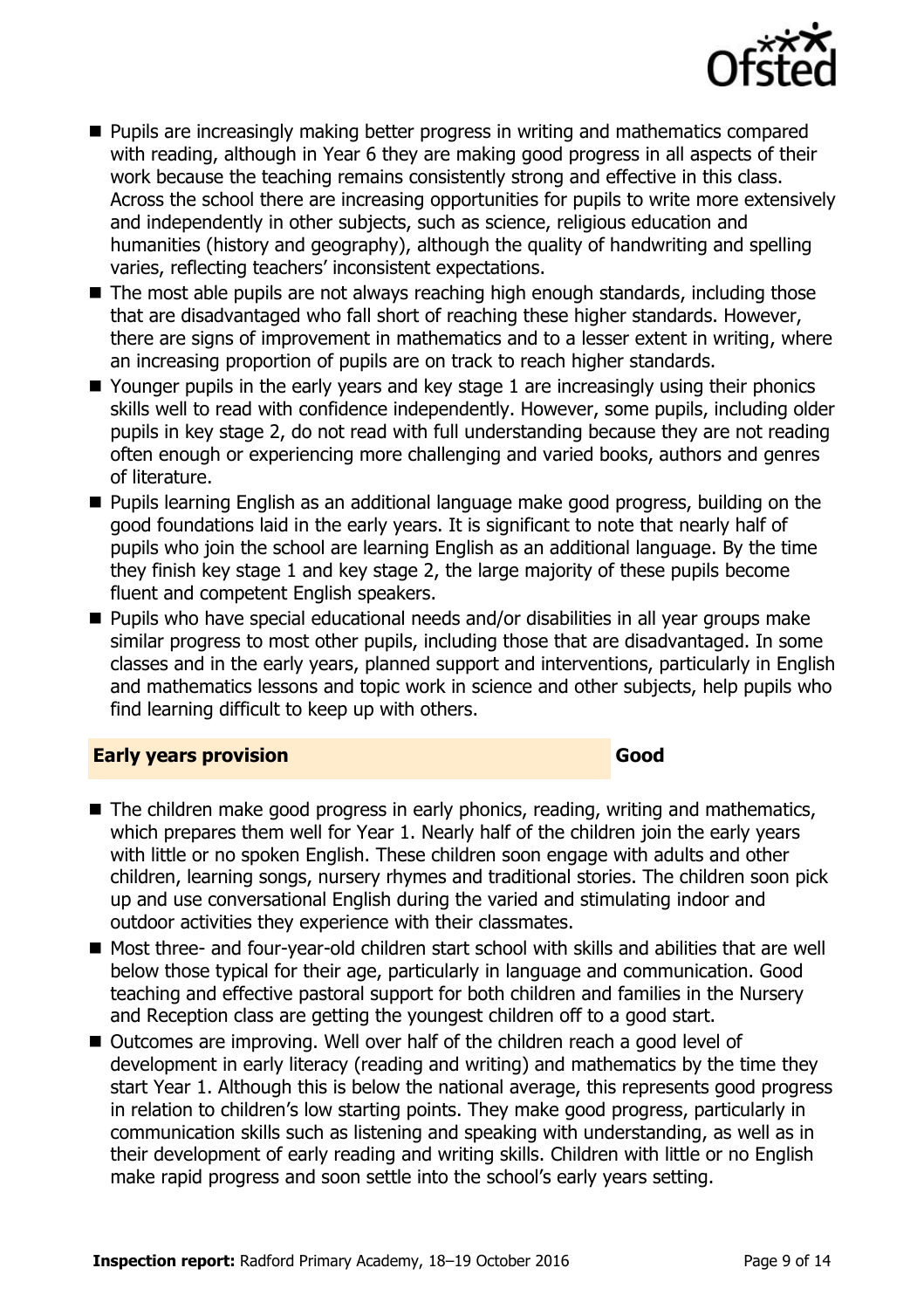

- **Pupils are increasingly making better progress in writing and mathematics compared** with reading, although in Year 6 they are making good progress in all aspects of their work because the teaching remains consistently strong and effective in this class. Across the school there are increasing opportunities for pupils to write more extensively and independently in other subjects, such as science, religious education and humanities (history and geography), although the quality of handwriting and spelling varies, reflecting teachers' inconsistent expectations.
- The most able pupils are not always reaching high enough standards, including those that are disadvantaged who fall short of reaching these higher standards. However, there are signs of improvement in mathematics and to a lesser extent in writing, where an increasing proportion of pupils are on track to reach higher standards.
- Younger pupils in the early years and key stage 1 are increasingly using their phonics skills well to read with confidence independently. However, some pupils, including older pupils in key stage 2, do not read with full understanding because they are not reading often enough or experiencing more challenging and varied books, authors and genres of literature.
- **Pupils learning English as an additional language make good progress, building on the** good foundations laid in the early years. It is significant to note that nearly half of pupils who join the school are learning English as an additional language. By the time they finish key stage 1 and key stage 2, the large majority of these pupils become fluent and competent English speakers.
- Pupils who have special educational needs and/or disabilities in all year groups make similar progress to most other pupils, including those that are disadvantaged. In some classes and in the early years, planned support and interventions, particularly in English and mathematics lessons and topic work in science and other subjects, help pupils who find learning difficult to keep up with others.

#### **Early years provision Good Good**

- The children make good progress in early phonics, reading, writing and mathematics, which prepares them well for Year 1. Nearly half of the children join the early years with little or no spoken English. These children soon engage with adults and other children, learning songs, nursery rhymes and traditional stories. The children soon pick up and use conversational English during the varied and stimulating indoor and outdoor activities they experience with their classmates.
- Most three- and four-year-old children start school with skills and abilities that are well below those typical for their age, particularly in language and communication. Good teaching and effective pastoral support for both children and families in the Nursery and Reception class are getting the youngest children off to a good start.
- Outcomes are improving. Well over half of the children reach a good level of development in early literacy (reading and writing) and mathematics by the time they start Year 1. Although this is below the national average, this represents good progress in relation to children's low starting points. They make good progress, particularly in communication skills such as listening and speaking with understanding, as well as in their development of early reading and writing skills. Children with little or no English make rapid progress and soon settle into the school's early years setting.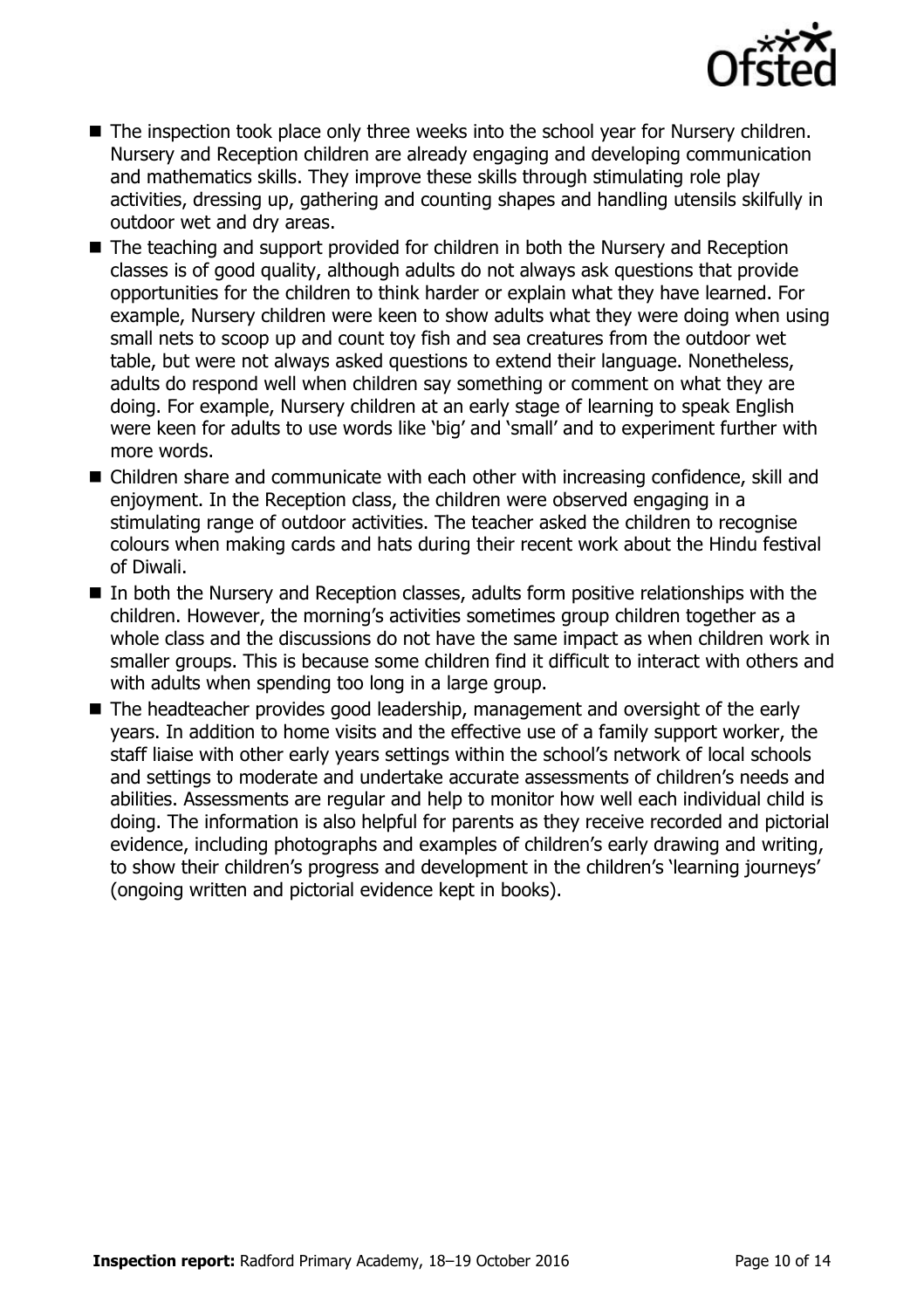

- The inspection took place only three weeks into the school year for Nursery children. Nursery and Reception children are already engaging and developing communication and mathematics skills. They improve these skills through stimulating role play activities, dressing up, gathering and counting shapes and handling utensils skilfully in outdoor wet and dry areas.
- The teaching and support provided for children in both the Nursery and Reception classes is of good quality, although adults do not always ask questions that provide opportunities for the children to think harder or explain what they have learned. For example, Nursery children were keen to show adults what they were doing when using small nets to scoop up and count toy fish and sea creatures from the outdoor wet table, but were not always asked questions to extend their language. Nonetheless, adults do respond well when children say something or comment on what they are doing. For example, Nursery children at an early stage of learning to speak English were keen for adults to use words like 'big' and 'small' and to experiment further with more words.
- Children share and communicate with each other with increasing confidence, skill and enjoyment. In the Reception class, the children were observed engaging in a stimulating range of outdoor activities. The teacher asked the children to recognise colours when making cards and hats during their recent work about the Hindu festival of Diwali.
- In both the Nursery and Reception classes, adults form positive relationships with the children. However, the morning's activities sometimes group children together as a whole class and the discussions do not have the same impact as when children work in smaller groups. This is because some children find it difficult to interact with others and with adults when spending too long in a large group.
- The headteacher provides good leadership, management and oversight of the early years. In addition to home visits and the effective use of a family support worker, the staff liaise with other early years settings within the school's network of local schools and settings to moderate and undertake accurate assessments of children's needs and abilities. Assessments are regular and help to monitor how well each individual child is doing. The information is also helpful for parents as they receive recorded and pictorial evidence, including photographs and examples of children's early drawing and writing, to show their children's progress and development in the children's 'learning journeys' (ongoing written and pictorial evidence kept in books).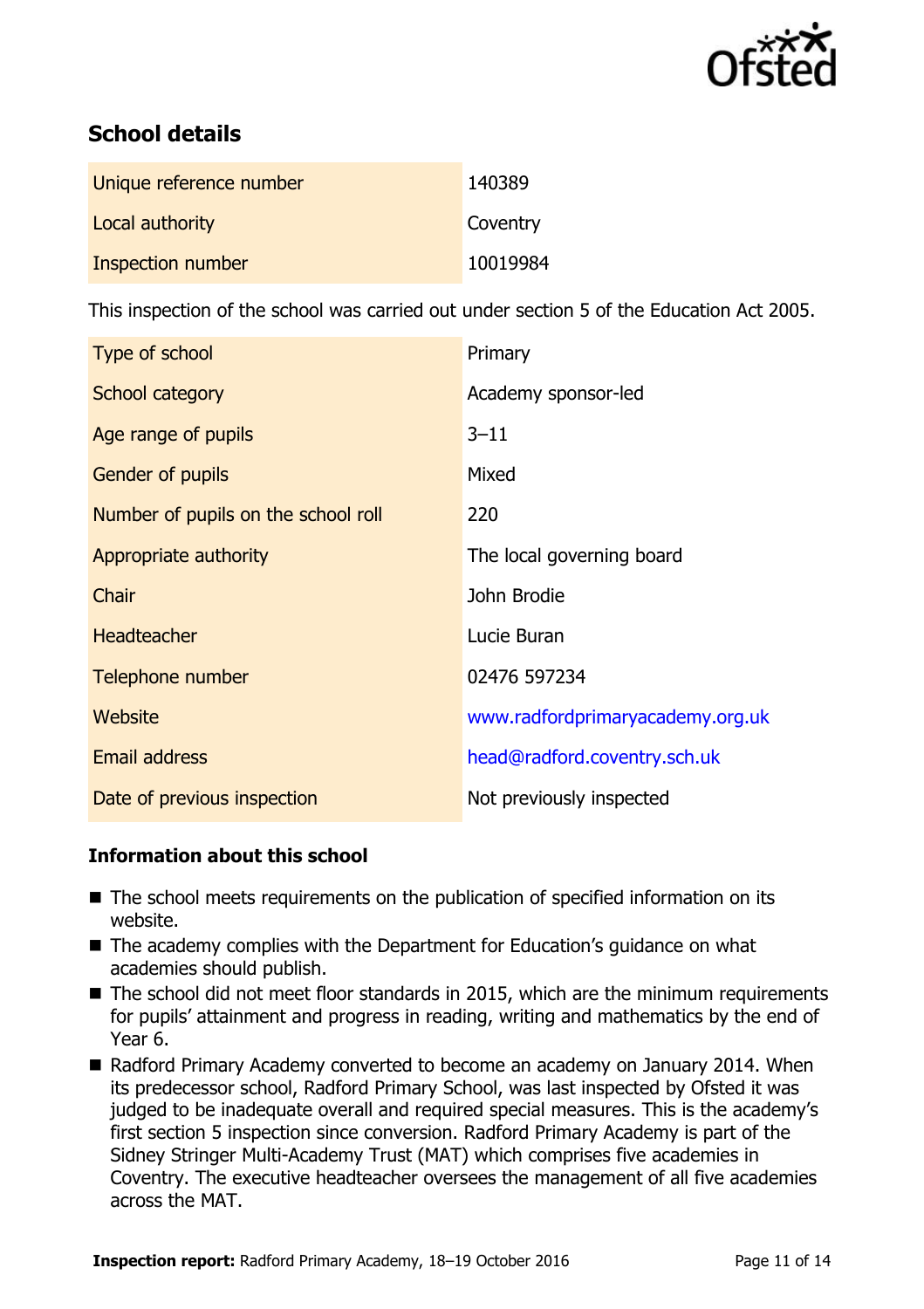

# **School details**

| Unique reference number | 140389   |
|-------------------------|----------|
| Local authority         | Coventry |
| Inspection number       | 10019984 |

This inspection of the school was carried out under section 5 of the Education Act 2005.

| Type of school                      | Primary                          |
|-------------------------------------|----------------------------------|
| School category                     | Academy sponsor-led              |
| Age range of pupils                 | $3 - 11$                         |
| <b>Gender of pupils</b>             | Mixed                            |
| Number of pupils on the school roll | 220                              |
| Appropriate authority               | The local governing board        |
| Chair                               | John Brodie                      |
| <b>Headteacher</b>                  | Lucie Buran                      |
| Telephone number                    | 02476 597234                     |
| Website                             | www.radfordprimaryacademy.org.uk |
| <b>Email address</b>                | head@radford.coventry.sch.uk     |
| Date of previous inspection         | Not previously inspected         |

### **Information about this school**

- The school meets requirements on the publication of specified information on its website.
- The academy complies with the Department for Education's quidance on what academies should publish.
- The school did not meet floor standards in 2015, which are the minimum requirements for pupils' attainment and progress in reading, writing and mathematics by the end of Year 6.
- Radford Primary Academy converted to become an academy on January 2014. When its predecessor school, Radford Primary School, was last inspected by Ofsted it was judged to be inadequate overall and required special measures. This is the academy's first section 5 inspection since conversion. Radford Primary Academy is part of the Sidney Stringer Multi-Academy Trust (MAT) which comprises five academies in Coventry. The executive headteacher oversees the management of all five academies across the MAT.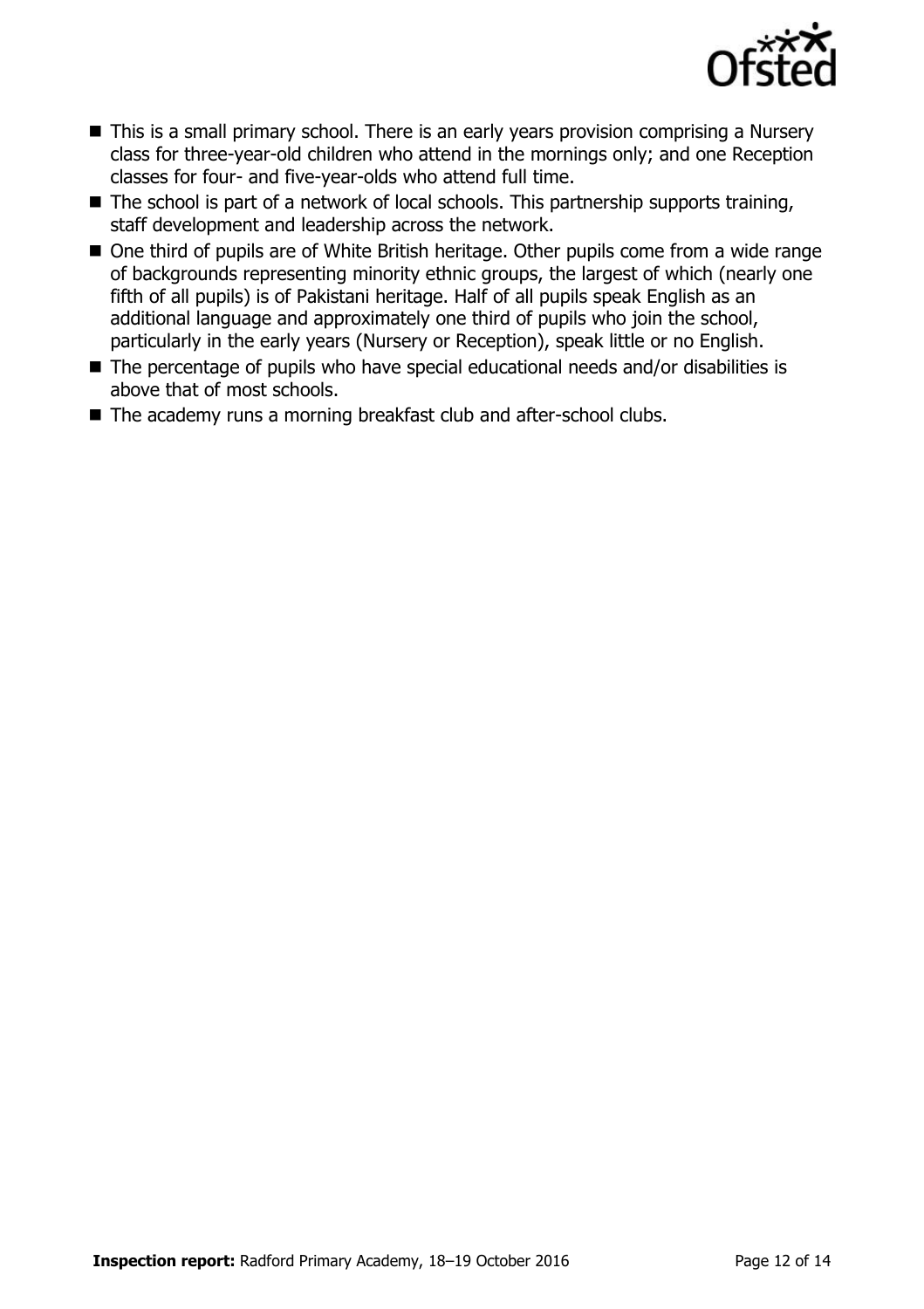

- This is a small primary school. There is an early years provision comprising a Nursery class for three-year-old children who attend in the mornings only; and one Reception classes for four- and five-year-olds who attend full time.
- $\blacksquare$  The school is part of a network of local schools. This partnership supports training, staff development and leadership across the network.
- One third of pupils are of White British heritage. Other pupils come from a wide range of backgrounds representing minority ethnic groups, the largest of which (nearly one fifth of all pupils) is of Pakistani heritage. Half of all pupils speak English as an additional language and approximately one third of pupils who join the school, particularly in the early years (Nursery or Reception), speak little or no English.
- The percentage of pupils who have special educational needs and/or disabilities is above that of most schools.
- The academy runs a morning breakfast club and after-school clubs.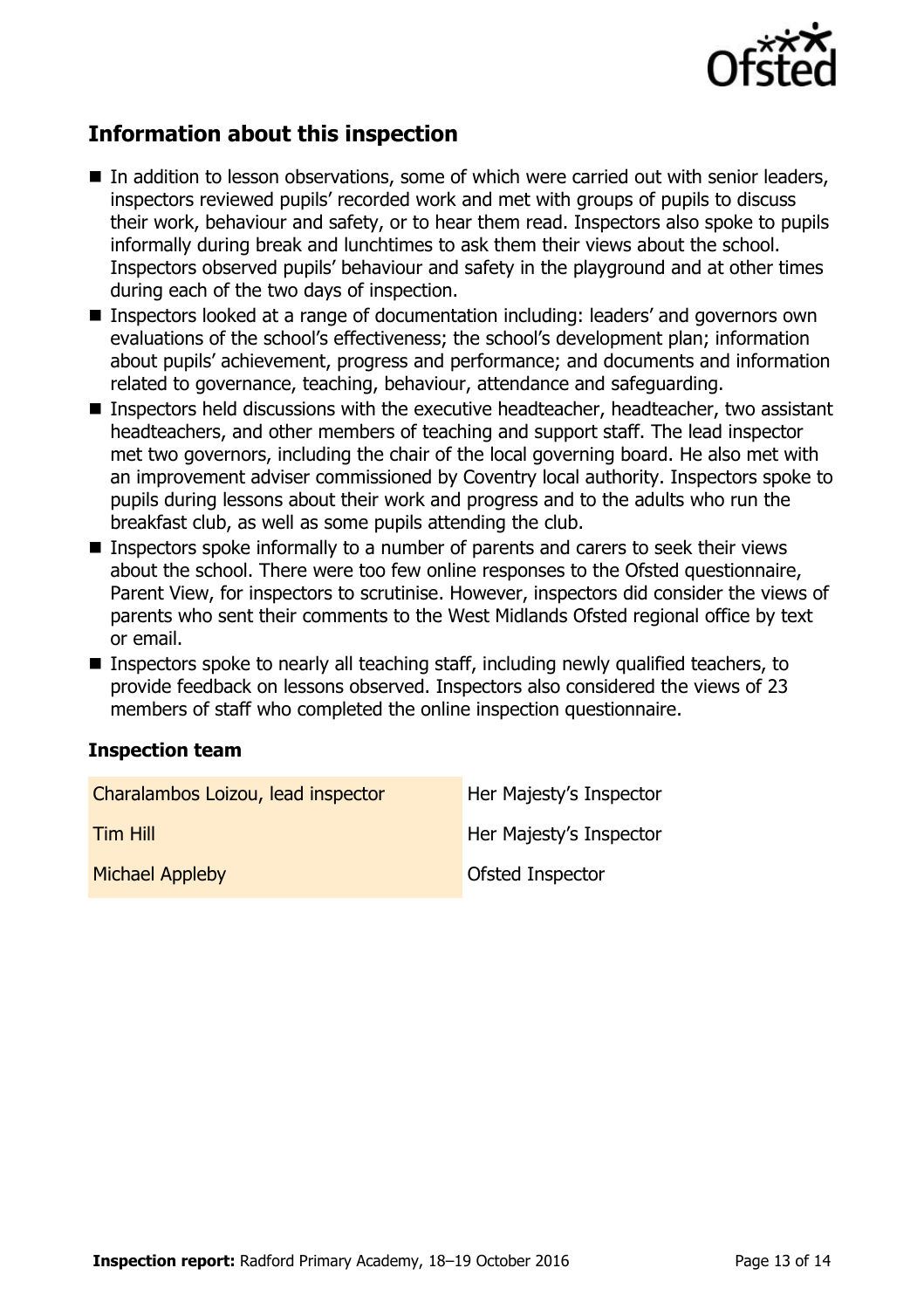

# **Information about this inspection**

- In addition to lesson observations, some of which were carried out with senior leaders, inspectors reviewed pupils' recorded work and met with groups of pupils to discuss their work, behaviour and safety, or to hear them read. Inspectors also spoke to pupils informally during break and lunchtimes to ask them their views about the school. Inspectors observed pupils' behaviour and safety in the playground and at other times during each of the two days of inspection.
- Inspectors looked at a range of documentation including: leaders' and governors own evaluations of the school's effectiveness; the school's development plan; information about pupils' achievement, progress and performance; and documents and information related to governance, teaching, behaviour, attendance and safeguarding.
- Inspectors held discussions with the executive headteacher, headteacher, two assistant headteachers, and other members of teaching and support staff. The lead inspector met two governors, including the chair of the local governing board. He also met with an improvement adviser commissioned by Coventry local authority. Inspectors spoke to pupils during lessons about their work and progress and to the adults who run the breakfast club, as well as some pupils attending the club.
- Inspectors spoke informally to a number of parents and carers to seek their views about the school. There were too few online responses to the Ofsted questionnaire, Parent View, for inspectors to scrutinise. However, inspectors did consider the views of parents who sent their comments to the West Midlands Ofsted regional office by text or email.
- **Inspectors spoke to nearly all teaching staff, including newly qualified teachers, to** provide feedback on lessons observed. Inspectors also considered the views of 23 members of staff who completed the online inspection questionnaire.

#### **Inspection team**

| Charalambos Loizou, lead inspector | Her Majesty's Inspector |
|------------------------------------|-------------------------|
| <b>Tim Hill</b>                    | Her Majesty's Inspector |
| <b>Michael Appleby</b>             | <b>Ofsted Inspector</b> |